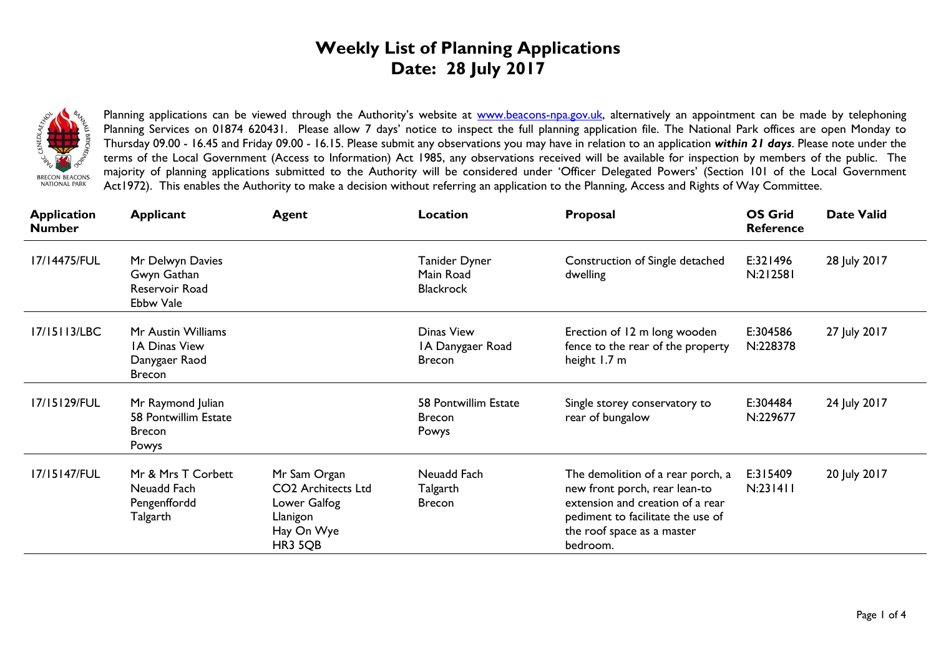## **Weekly List of Planning Applications Date: 28 July 2017**



Planning applications can be viewed through the Authority's website at [www.beacons-npa.gov.uk,](http://www.beacons-npa.gov.uk/) alternatively an appointment can be made by telephoning Planning Services on 01874 620431. Please allow 7 days' notice to inspect the full planning application file. The National Park offices are open Monday to Thursday 09.00 - 16.45 and Friday 09.00 - 16.15. Please submit any observations you may have in relation to an application *within 21 days*. Please note under the terms of the Local Government (Access to Information) Act 1985, any observations received will be available for inspection by members of the public. The majority of planning applications submitted to the Authority will be considered under 'Officer Delegated Powers' (Section 101 of the Local Government Act1972). This enables the Authority to make a decision without referring an application to the Planning, Access and Rights of Way Committee.

| <b>Application</b><br><b>Number</b> | <b>Applicant</b>                                                             | <b>Agent</b>                                                                                   | <b>Location</b>                                 | Proposal                                                                                                                                                                              | <b>OS Grid</b><br><b>Reference</b> | <b>Date Valid</b> |
|-------------------------------------|------------------------------------------------------------------------------|------------------------------------------------------------------------------------------------|-------------------------------------------------|---------------------------------------------------------------------------------------------------------------------------------------------------------------------------------------|------------------------------------|-------------------|
| 17/14475/FUL                        | Mr Delwyn Davies<br>Gwyn Gathan<br>Reservoir Road<br>Ebbw Vale               |                                                                                                | Tanider Dyner<br>Main Road<br><b>Blackrock</b>  | Construction of Single detached<br>dwelling                                                                                                                                           | E:321496<br>N:212581               | 28 July 2017      |
| 17/15113/LBC                        | Mr Austin Williams<br><b>IA Dinas View</b><br>Danygaer Raod<br><b>Brecon</b> |                                                                                                | Dinas View<br>IA Danygaer Road<br><b>Brecon</b> | Erection of 12 m long wooden<br>fence to the rear of the property<br>height 1.7 m                                                                                                     | E:304586<br>N:228378               | 27 July 2017      |
| 17/15129/FUL                        | Mr Raymond Julian<br>58 Pontwillim Estate<br><b>Brecon</b><br>Powys          |                                                                                                | 58 Pontwillim Estate<br><b>Brecon</b><br>Powys  | Single storey conservatory to<br>rear of bungalow                                                                                                                                     | E:304484<br>N:229677               | 24 July 2017      |
| 17/15147/FUL                        | Mr & Mrs T Corbett<br>Neuadd Fach<br>Pengenffordd<br>Talgarth                | Mr Sam Organ<br><b>CO2</b> Architects Ltd<br>Lower Galfog<br>Llanigon<br>Hay On Wye<br>HR3 5QB | Neuadd Fach<br>Talgarth<br><b>Brecon</b>        | The demolition of a rear porch, a<br>new front porch, rear lean-to<br>extension and creation of a rear<br>pediment to facilitate the use of<br>the roof space as a master<br>bedroom. | E:315409<br>N:231411               | 20 July 2017      |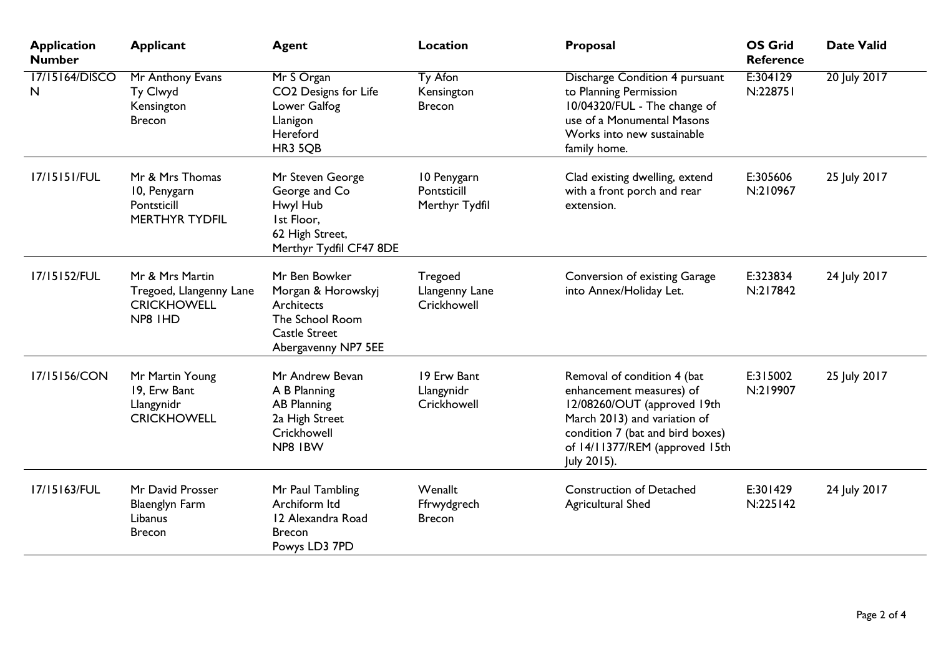| <b>Application</b><br><b>Number</b> | <b>Applicant</b>                                                            | <b>Agent</b>                                                                                                        | <b>Location</b>                              | Proposal                                                                                                                                                                                                    | <b>OS Grid</b><br><b>Reference</b> | <b>Date Valid</b> |
|-------------------------------------|-----------------------------------------------------------------------------|---------------------------------------------------------------------------------------------------------------------|----------------------------------------------|-------------------------------------------------------------------------------------------------------------------------------------------------------------------------------------------------------------|------------------------------------|-------------------|
| 17/15164/DISCO<br>N                 | Mr Anthony Evans<br>Ty Clwyd<br>Kensington<br><b>Brecon</b>                 | Mr S Organ<br>CO2 Designs for Life<br>Lower Galfog<br>Llanigon<br>Hereford<br>HR3 5QB                               | Ty Afon<br>Kensington<br><b>Brecon</b>       | Discharge Condition 4 pursuant<br>to Planning Permission<br>10/04320/FUL - The change of<br>use of a Monumental Masons<br>Works into new sustainable<br>family home.                                        | E:304129<br>N:228751               | 20 July 2017      |
| 17/15151/FUL                        | Mr & Mrs Thomas<br>10, Penygarn<br>Pontsticill<br><b>MERTHYR TYDFIL</b>     | Mr Steven George<br>George and Co<br>Hwyl Hub<br>Ist Floor.<br>62 High Street,<br>Merthyr Tydfil CF47 8DE           | 10 Penygarn<br>Pontsticill<br>Merthyr Tydfil | Clad existing dwelling, extend<br>with a front porch and rear<br>extension.                                                                                                                                 | E:305606<br>N:210967               | 25 July 2017      |
| 17/15152/FUL                        | Mr & Mrs Martin<br>Tregoed, Llangenny Lane<br><b>CRICKHOWELL</b><br>NP8 IHD | Mr Ben Bowker<br>Morgan & Horowskyj<br>Architects<br>The School Room<br><b>Castle Street</b><br>Abergavenny NP7 5EE | Tregoed<br>Llangenny Lane<br>Crickhowell     | Conversion of existing Garage<br>into Annex/Holiday Let.                                                                                                                                                    | E:323834<br>N:217842               | 24 July 2017      |
| 17/15156/CON                        | Mr Martin Young<br>19, Erw Bant<br>Llangynidr<br><b>CRICKHOWELL</b>         | Mr Andrew Bevan<br>A B Planning<br><b>AB Planning</b><br>2a High Street<br>Crickhowell<br>NP8 IBW                   | 19 Erw Bant<br>Llangynidr<br>Crickhowell     | Removal of condition 4 (bat<br>enhancement measures) of<br>12/08260/OUT (approved 19th<br>March 2013) and variation of<br>condition 7 (bat and bird boxes)<br>of 14/11377/REM (approved 15th<br>July 2015). | E:315002<br>N:219907               | 25 July 2017      |
| 17/15163/FUL                        | Mr David Prosser<br><b>Blaenglyn Farm</b><br>Libanus<br><b>Brecon</b>       | Mr Paul Tambling<br>Archiform Itd<br>12 Alexandra Road<br><b>Brecon</b><br>Powys LD3 7PD                            | Wenallt<br>Ffrwydgrech<br><b>Brecon</b>      | <b>Construction of Detached</b><br><b>Agricultural Shed</b>                                                                                                                                                 | E:301429<br>N:225142               | 24 July 2017      |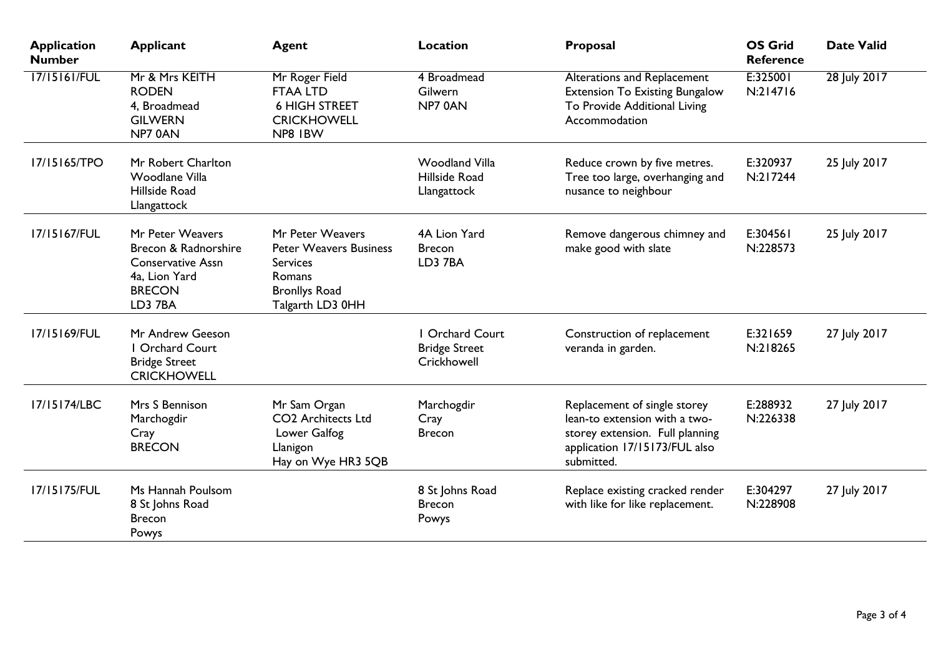| <b>Application</b><br><b>Number</b> | <b>Applicant</b>                                                                                                  | <b>Agent</b>                                                                                                               | <b>Location</b>                                             | Proposal                                                                                                                                        | <b>OS Grid</b><br><b>Reference</b> | <b>Date Valid</b> |
|-------------------------------------|-------------------------------------------------------------------------------------------------------------------|----------------------------------------------------------------------------------------------------------------------------|-------------------------------------------------------------|-------------------------------------------------------------------------------------------------------------------------------------------------|------------------------------------|-------------------|
| 17/15161/FUL                        | Mr & Mrs KEITH<br><b>RODEN</b><br>4, Broadmead<br><b>GILWERN</b><br>NP70AN                                        | Mr Roger Field<br><b>FTAA LTD</b><br><b>6 HIGH STREET</b><br><b>CRICKHOWELL</b><br>NP8 IBW                                 | 4 Broadmead<br>Gilwern<br>NP7 0AN                           | <b>Alterations and Replacement</b><br><b>Extension To Existing Bungalow</b><br>To Provide Additional Living<br>Accommodation                    | E:325001<br>N:214716               | 28 July 2017      |
| 17/15165/TPO                        | Mr Robert Charlton<br><b>Woodlane Villa</b><br>Hillside Road<br>Llangattock                                       |                                                                                                                            | <b>Woodland Villa</b><br>Hillside Road<br>Llangattock       | Reduce crown by five metres.<br>Tree too large, overhanging and<br>nusance to neighbour                                                         | E:320937<br>N:217244               | 25 July 2017      |
| 17/15167/FUL                        | Mr Peter Weavers<br>Brecon & Radnorshire<br><b>Conservative Assn</b><br>4a, Lion Yard<br><b>BRECON</b><br>LD3 7BA | Mr Peter Weavers<br><b>Peter Weavers Business</b><br><b>Services</b><br>Romans<br><b>Bronllys Road</b><br>Talgarth LD3 0HH | 4A Lion Yard<br><b>Brecon</b><br>LD3 7BA                    | Remove dangerous chimney and<br>make good with slate                                                                                            | E:304561<br>N:228573               | 25 July 2017      |
| 17/15169/FUL                        | Mr Andrew Geeson<br>I Orchard Court<br><b>Bridge Street</b><br><b>CRICKHOWELL</b>                                 |                                                                                                                            | <b>Orchard Court</b><br><b>Bridge Street</b><br>Crickhowell | Construction of replacement<br>veranda in garden.                                                                                               | E:321659<br>N:218265               | 27 July 2017      |
| 17/15174/LBC                        | Mrs S Bennison<br>Marchogdir<br>Cray<br><b>BRECON</b>                                                             | Mr Sam Organ<br><b>CO2</b> Architects Ltd<br>Lower Galfog<br>Llanigon<br>Hay on Wye HR3 5QB                                | Marchogdir<br>Cray<br><b>Brecon</b>                         | Replacement of single storey<br>lean-to extension with a two-<br>storey extension. Full planning<br>application 17/15173/FUL also<br>submitted. | E:288932<br>N:226338               | 27 July 2017      |
| 17/15175/FUL                        | Ms Hannah Poulsom<br>8 St Johns Road<br><b>Brecon</b><br>Powys                                                    |                                                                                                                            | 8 St Johns Road<br><b>Brecon</b><br>Powys                   | Replace existing cracked render<br>with like for like replacement.                                                                              | E:304297<br>N:228908               | 27 July 2017      |